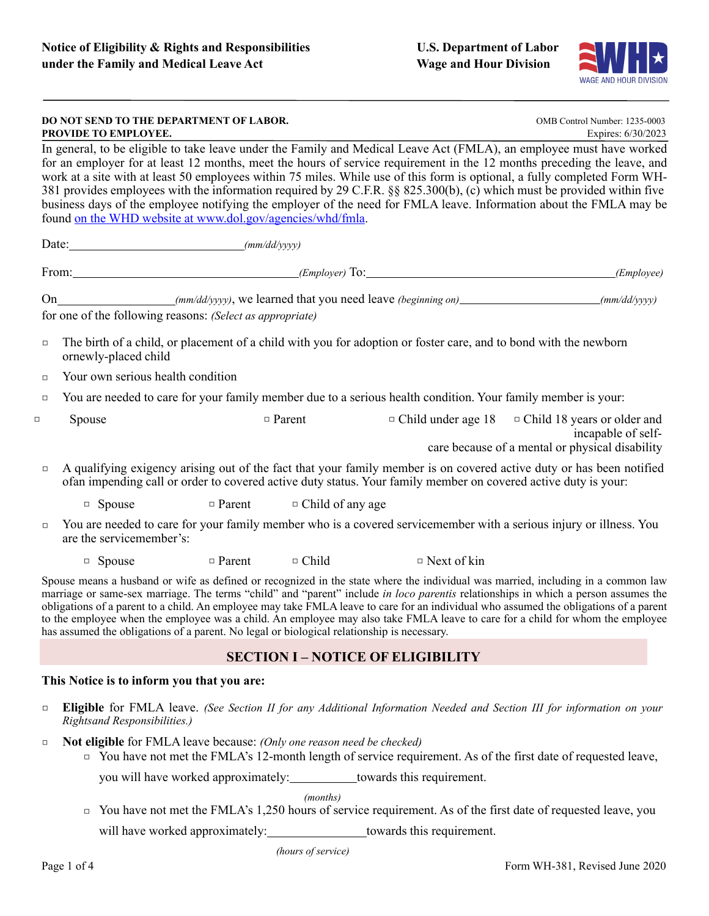

|                                                                                                                                                                                                                                                                                                                                                                                                                                                                                                                                                                                                                                                                                             | DO NOT SEND TO THE DEPARTMENT OF LABOR.<br>PROVIDE TO EMPLOYEE.                                                                                                                                                                        |               | OMB Control Number: 1235-0003<br>Expires: 6/30/2023 |                                                                                                              |                                                                                                                                       |  |  |
|---------------------------------------------------------------------------------------------------------------------------------------------------------------------------------------------------------------------------------------------------------------------------------------------------------------------------------------------------------------------------------------------------------------------------------------------------------------------------------------------------------------------------------------------------------------------------------------------------------------------------------------------------------------------------------------------|----------------------------------------------------------------------------------------------------------------------------------------------------------------------------------------------------------------------------------------|---------------|-----------------------------------------------------|--------------------------------------------------------------------------------------------------------------|---------------------------------------------------------------------------------------------------------------------------------------|--|--|
| In general, to be eligible to take leave under the Family and Medical Leave Act (FMLA), an employee must have worked<br>for an employer for at least 12 months, meet the hours of service requirement in the 12 months preceding the leave, and<br>work at a site with at least 50 employees within 75 miles. While use of this form is optional, a fully completed Form WH-<br>381 provides employees with the information required by 29 C.F.R. §§ 825.300(b), (c) which must be provided within five<br>business days of the employee notifying the employer of the need for FMLA leave. Information about the FMLA may be<br>found on the WHD website at www.dol.gov/agencies/whd/fmla. |                                                                                                                                                                                                                                        |               |                                                     |                                                                                                              |                                                                                                                                       |  |  |
|                                                                                                                                                                                                                                                                                                                                                                                                                                                                                                                                                                                                                                                                                             |                                                                                                                                                                                                                                        |               |                                                     |                                                                                                              |                                                                                                                                       |  |  |
| From: (Employer) To: (Employer) To: (Employer) To: (Employee)                                                                                                                                                                                                                                                                                                                                                                                                                                                                                                                                                                                                                               |                                                                                                                                                                                                                                        |               |                                                     |                                                                                                              |                                                                                                                                       |  |  |
| for one of the following reasons: (Select as appropriate)                                                                                                                                                                                                                                                                                                                                                                                                                                                                                                                                                                                                                                   |                                                                                                                                                                                                                                        |               |                                                     |                                                                                                              |                                                                                                                                       |  |  |
| The birth of a child, or placement of a child with you for adoption or foster care, and to bond with the newborn<br>$\Box$<br>ornewly-placed child                                                                                                                                                                                                                                                                                                                                                                                                                                                                                                                                          |                                                                                                                                                                                                                                        |               |                                                     |                                                                                                              |                                                                                                                                       |  |  |
| $\Box$                                                                                                                                                                                                                                                                                                                                                                                                                                                                                                                                                                                                                                                                                      | Your own serious health condition                                                                                                                                                                                                      |               |                                                     |                                                                                                              |                                                                                                                                       |  |  |
| $\Box$                                                                                                                                                                                                                                                                                                                                                                                                                                                                                                                                                                                                                                                                                      |                                                                                                                                                                                                                                        |               |                                                     | You are needed to care for your family member due to a serious health condition. Your family member is your: |                                                                                                                                       |  |  |
| $\Box$                                                                                                                                                                                                                                                                                                                                                                                                                                                                                                                                                                                                                                                                                      | Spouse                                                                                                                                                                                                                                 |               | $\Box$ Parent                                       |                                                                                                              | $\Box$ Child under age 18 $\Box$ Child 18 years or older and<br>incapable of self-<br>care because of a mental or physical disability |  |  |
| $\Box$                                                                                                                                                                                                                                                                                                                                                                                                                                                                                                                                                                                                                                                                                      | A qualifying exigency arising out of the fact that your family member is on covered active duty or has been notified<br>ofan impending call or order to covered active duty status. Your family member on covered active duty is your: |               |                                                     |                                                                                                              |                                                                                                                                       |  |  |
|                                                                                                                                                                                                                                                                                                                                                                                                                                                                                                                                                                                                                                                                                             | $\Box$ Spouse                                                                                                                                                                                                                          | $\Box$ Parent | $\Box$ Child of any age                             |                                                                                                              |                                                                                                                                       |  |  |
| $\Box$                                                                                                                                                                                                                                                                                                                                                                                                                                                                                                                                                                                                                                                                                      | You are needed to care for your family member who is a covered servicemember with a serious injury or illness. You<br>are the servicemember's:                                                                                         |               |                                                     |                                                                                                              |                                                                                                                                       |  |  |
|                                                                                                                                                                                                                                                                                                                                                                                                                                                                                                                                                                                                                                                                                             | □ Spouse                                                                                                                                                                                                                               | $\Box$ Parent | $\Box$ Child                                        | $\Box$ Next of kin                                                                                           |                                                                                                                                       |  |  |
| Spouse means a husband or wife as defined or recognized in the state where the individual was married, including in a common law<br>marriage or same-sex marriage. The terms "child" and "parent" include in loco parentis relationships in which a person assumes the<br>obligations of a parent to a child. An employee may take FMLA leave to care for an individual who assumed the obligations of a parent<br>to the employee when the employee was a child. An employee may also take FMLA leave to care for a child for whom the employee<br>has assumed the obligations of a parent. No legal or biological relationship is necessary.                                              |                                                                                                                                                                                                                                        |               |                                                     |                                                                                                              |                                                                                                                                       |  |  |
| <b>SECTION I - NOTICE OF ELIGIBILITY</b>                                                                                                                                                                                                                                                                                                                                                                                                                                                                                                                                                                                                                                                    |                                                                                                                                                                                                                                        |               |                                                     |                                                                                                              |                                                                                                                                       |  |  |
| This Notice is to inform you that you are:                                                                                                                                                                                                                                                                                                                                                                                                                                                                                                                                                                                                                                                  |                                                                                                                                                                                                                                        |               |                                                     |                                                                                                              |                                                                                                                                       |  |  |
|                                                                                                                                                                                                                                                                                                                                                                                                                                                                                                                                                                                                                                                                                             | THURLA THE LINK ON A LITTLE LINE CLARA LITTLE LITTLE                                                                                                                                                                                   |               |                                                     |                                                                                                              |                                                                                                                                       |  |  |

□ **Eligible** for FMLA leave. *(See Section II for any Additional Information Needed and Section III for information on your Rightsand Responsibilities.)*

□ **Not eligible** for FMLA leave because: *(Only one reason need be checked)*

□ You have not met the FMLA's 12-month length of service requirement. As of the first date of requested leave,

you will have worked approximately: \_\_\_\_\_\_\_\_\_\_\_towards this requirement.

*(months)*

□ You have not met the FMLA's 1,250 hours of service requirement. As of the first date of requested leave, you

will have worked approximately: towards this requirement.

*(hours of service)*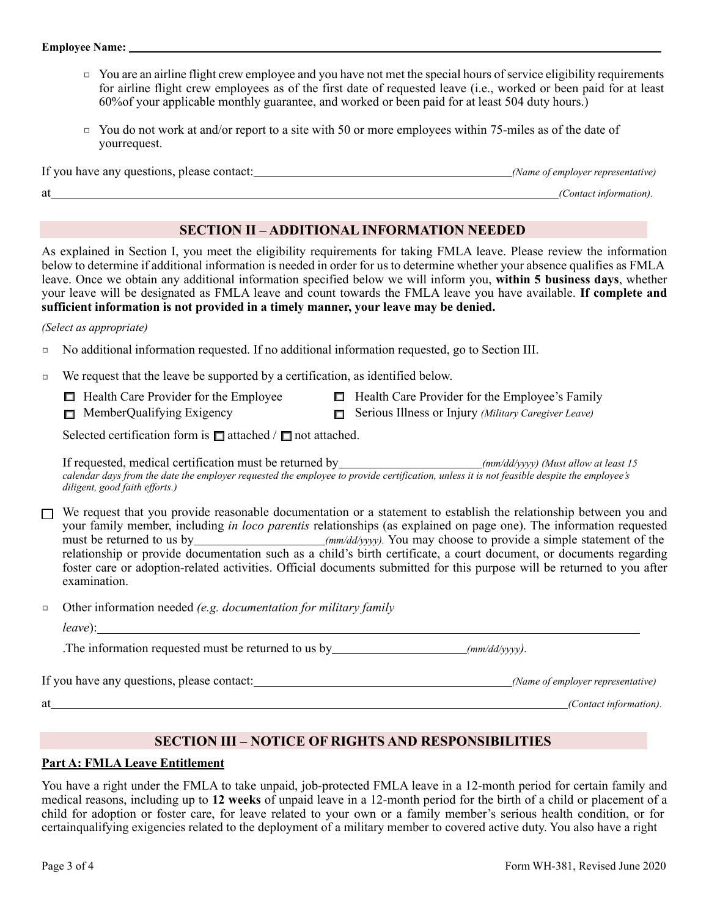- □ You are an airline flight crew employee and you have not met the special hours of service eligibility requirements for airline flight crew employees as of the first date of requested leave (i.e., worked or been paid for at least 60%of your applicable monthly guarantee, and worked or been paid for at least 504 duty hours.)
- $\Box$  You do not work at and/or report to a site with 50 or more employees within 75-miles as of the date of yourrequest.

| If you have any questions, please contact: | (Name of employer representative) |
|--------------------------------------------|-----------------------------------|
| at                                         | (Contact information).            |

# **SECTION II – ADDITIONAL INFORMATION NEEDED**

As explained in Section I, you meet the eligibility requirements for taking FMLA leave. Please review the information below to determine if additional information is needed in order for us to determine whether your absence qualifies as FMLA leave. Once we obtain any additional information specified below we will inform you, **within 5 business days**, whether your leave will be designated as FMLA leave and count towards the FMLA leave you have available. **If complete and sufficient information is not provided in a timely manner, your leave may be denied.**

#### *(Select as appropriate)*

- □ No additional information requested. If no additional information requested, go to Section III.
- □ We request that the leave be supported by a certification, as identified below.
	- $\Box$  Health Care Provider for the Employee
	- $\Box$  MemberQualifying Exigency
- $\Box$  Health Care Provider for the Employee's Family
- Serious Illness or Injury *(Military Caregiver Leave)*

Selected certification form is  $\Box$  attached /  $\Box$  not attached.

If requested, medical certification must be returned by *(mm/dd/yyyy) (Must allow at least 15 calendar days from the date the employer requested the employee to provide certification, unless it is not feasible despite the employee's diligent, good faith efforts.)*

 $\Box$  We request that you provide reasonable documentation or a statement to establish the relationship between you and your family member, including *in loco parentis* relationships (as explained on page one). The information requested must be returned to us by *(mm/dd/yyyy)*. You may choose to provide a simple statement of the relationship or provide documentation such as a child's birth certificate, a court document, or documents regarding foster care or adoption-related activities. Official documents submitted for this purpose will be returned to you after examination.

□ Other information needed *(e.g. documentation for military family*

| teave |  |
|-------|--|
|       |  |

.The information requested must be returned to us by *(mm/dd/yyyy).*

If you have any questions, please contact: *(Name of employer representative)*

at *(Contact information).*

# **SECTION III – NOTICE OF RIGHTS AND RESPONSIBILITIES**

## **Part A: FMLA Leave Entitlement**

You have a right under the FMLA to take unpaid, job-protected FMLA leave in a 12-month period for certain family and medical reasons, including up to **12 weeks** of unpaid leave in a 12-month period for the birth of a child or placement of a child for adoption or foster care, for leave related to your own or a family member's serious health condition, or for certainqualifying exigencies related to the deployment of a military member to covered active duty. You also have a right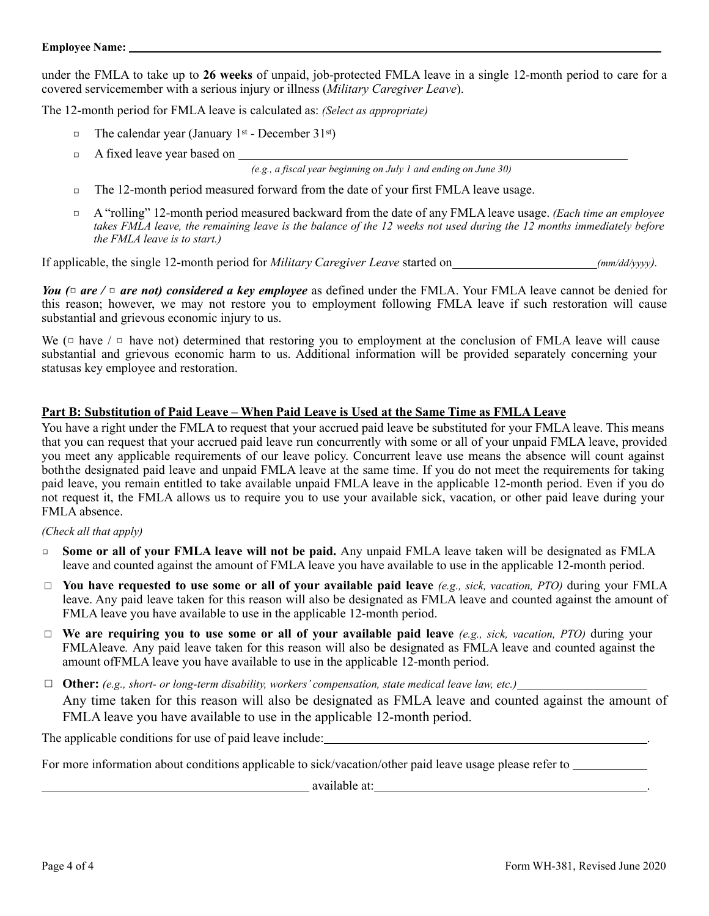under the FMLA to take up to **26 weeks** of unpaid, job-protected FMLA leave in a single 12-month period to care for a covered servicemember with a serious injury or illness (*Military Caregiver Leave*).

The 12-month period for FMLA leave is calculated as: *(Select as appropriate)*

- $\Box$  The calendar year (January 1<sup>st</sup> December 31<sup>st</sup>)
- □ A fixed leave year based on

*(e.g., a fiscal year beginning on July 1 and ending on June 30)*

- □ The 12-month period measured forward from the date of your first FMLA leave usage.
- □ A "rolling" 12-month period measured backward from the date of any FMLA leave usage. *(Each time an employee* takes FMLA leave, the remaining leave is the balance of the 12 weeks not used during the 12 months immediately before *the FMLA leave is to start.)*

If applicable, the single 12-month period for *Military Caregiver Leave* started on *(mm/dd/yyyy).*

*You (*□ *are /* □ *are not) considered a key employee* as defined under the FMLA. Your FMLA leave cannot be denied for this reason; however, we may not restore you to employment following FMLA leave if such restoration will cause substantial and grievous economic injury to us.

We ( $\Xi$  have  $\pi$ ) are not) determined that restoring you to employment at the conclusion of FMLA leave will cause substantial and grievous economic harm to us. Additional information will be provided separately concerning your statusas key employee and restoration.

## **Part B: Substitution of Paid Leave – When Paid Leave is Used at the Same Time as FMLA Leave**

You have a right under the FMLA to request that your accrued paid leave be substituted for your FMLA leave. This means that you can request that your accrued paid leave run concurrently with some or all of your unpaid FMLA leave, provided you meet any applicable requirements of our leave policy. Concurrent leave use means the absence will count against boththe designated paid leave and unpaid FMLA leave at the same time. If you do not meet the requirements for taking paid leave, you remain entitled to take available unpaid FMLA leave in the applicable 12-month period. Even if you do not request it, the FMLA allows us to require you to use your available sick, vacation, or other paid leave during your FMLA absence.

#### *(Check all that apply)*

- □ **Some or all of your FMLA leave will not be paid.** Any unpaid FMLA leave taken will be designated as FMLA leave and counted against the amount of FMLA leave you have available to use in the applicable 12-month period.
- □ **You have requested to use some or all of your available paid leave** (e.g., sick, vacation, PTO) during your FMLA leave. Any paid leave taken for this reason will also be designated as FMLA leave and counted against the amount of FMLA leave you have available to use in the applicable 12-month period.
- □ **We are requiring you to use some or all of your available paid leave** *(e.g., sick, vacation, PTO)* during your FMLAleave*.* Any paid leave taken for this reason will also be designated as FMLA leave and counted against the amount ofFMLA leave you have available to use in the applicable 12-month period.
- □ **Other:** *(e.g., short- or long-term disability, workers' compensation, state medical leave law, etc.)*  Any time taken for this reason will also be designated as FMLA leave and counted against the amount of FMLA leave you have available to use in the applicable 12-month period.

The applicable conditions for use of paid leave include:

For more information about conditions applicable to sick/vacation/other paid leave usage please refer to

available at: